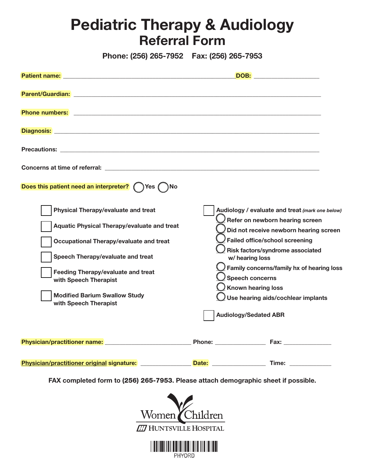## Pediatric Therapy & Audiology Referral Form

Phone: (256) 265-7952 Fax: (256) 265-7953

| Does this patient need an interpreter? ( ) Yes ( ) No                                                                                                                                                                                                                                                            |       |                                                                                                                                                                                                                                                                                                                                                                                         |
|------------------------------------------------------------------------------------------------------------------------------------------------------------------------------------------------------------------------------------------------------------------------------------------------------------------|-------|-----------------------------------------------------------------------------------------------------------------------------------------------------------------------------------------------------------------------------------------------------------------------------------------------------------------------------------------------------------------------------------------|
| <b>Physical Therapy/evaluate and treat</b><br>Aquatic Physical Therapy/evaluate and treat<br>Occupational Therapy/evaluate and treat<br>Speech Therapy/evaluate and treat<br><b>Feeding Therapy/evaluate and treat</b><br>with Speech Therapist<br><b>Modified Barium Swallow Study</b><br>with Speech Therapist |       | Audiology / evaluate and treat (mark one below)<br>Refer on newborn hearing screen<br>Did not receive newborn hearing screen<br><b>Failed office/school screening</b><br>Risk factors/syndrome associated<br>w/ hearing loss<br>$\sqrt{2}$ Family concerns/family hx of hearing loss<br>Speech concerns<br>$\bigcup$ Known hearing loss<br>$\bigcup$ Use hearing aids/cochlear implants |
|                                                                                                                                                                                                                                                                                                                  |       | <b>Audiology/Sedated ABR</b>                                                                                                                                                                                                                                                                                                                                                            |
| Physician/practitioner original signature:                                                                                                                                                                                                                                                                       | Date: | Time:                                                                                                                                                                                                                                                                                                                                                                                   |

FAX completed form to (256) 265-7953. Please attach demographic sheet if possible.



PHYORD